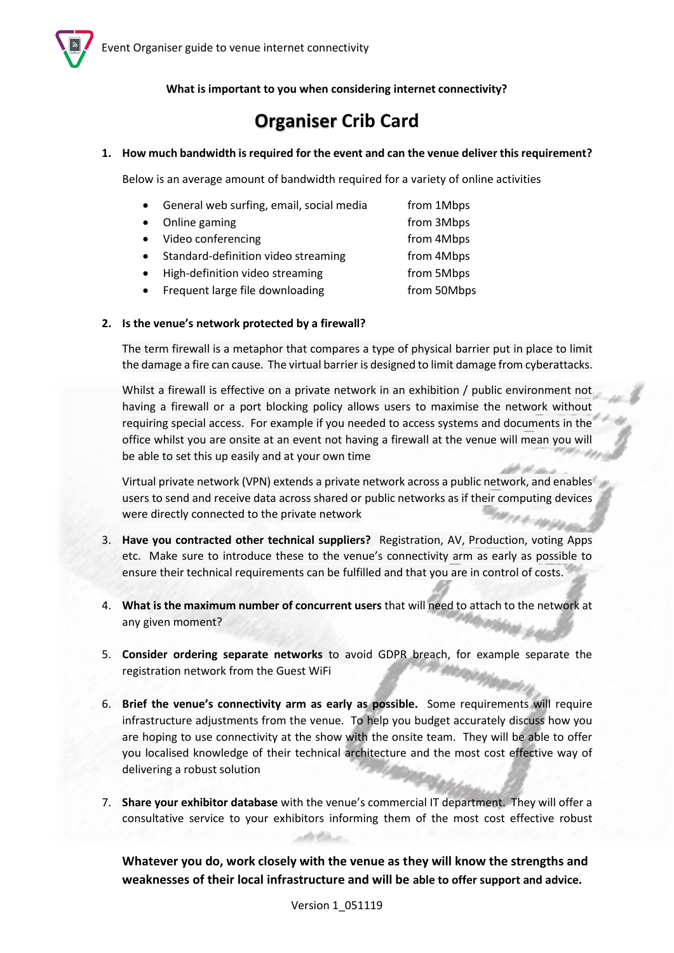

**What is important to you when considering internet connectivity?**

## **Organiser Crib Card**

## **1. How much bandwidth is required for the event and can the venue deliver this requirement?**

Below is an average amount of bandwidth required for a variety of online activities

- General web surfing, email, social media from 1Mbps
- Online gaming the state of the state of the state of the state of the state of the state of the state of the state of the state of the state of the state of the state of the state of the state of the state of the state o
- Video conferencing intervals of the from 4Mbps
- Standard-definition video streaming from 4Mbps
- High-definition video streaming from 5Mbps
- Frequent large file downloading from 50Mbps

## **2. Is the venue's network protected by a firewall?**

The term firewall is a metaphor that compares a type of physical barrier put in place to limit the damage a fire can cause. The virtual barrier is designed to limit damage from cyberattacks.

Whilst a firewall is effective on a private network in an exhibition / public environment not having a firewall or a port blocking policy allows users to maximise the network without requiring special access. For example if you needed to access systems and documents in the office whilst you are onsite at an event not having a firewall at the venue will mean you will be able to set this up easily and at your own time

Virtual private network (VPN) extends a private network across a public network, and enables users to send and receive data across shared or public networks as if their computing devices were directly connected to the private network **PA-10** 

- 3. **Have you contracted other technical suppliers?** Registration, AV, Production, voting Apps etc. Make sure to introduce these to the venue's connectivity arm as early as possible to ensure their technical requirements can be fulfilled and that you are in control of costs.
- 4. **What is the maximum number of concurrent users** that will need to attach to the network at any given moment?
- 5. **Consider ordering separate networks** to avoid GDPR breach, for example separate the registration network from the Guest WiFi
- 6. **Brief the venue's connectivity arm as early as possible.** Some requirements will require infrastructure adjustments from the venue. To help you budget accurately discuss how you are hoping to use connectivity at the show with the onsite team. They will be able to offer you localised knowledge of their technical architecture and the most cost effective way of delivering a robust solution
- 7. **Share your exhibitor database** with the venue's commercial IT department. They will offer a consultative service to your exhibitors informing them of the most cost effective robust

**Whatever you do, work closely with the venue as they will know the strengths and weaknesses of their local infrastructure and will be able to offer support and advice.**